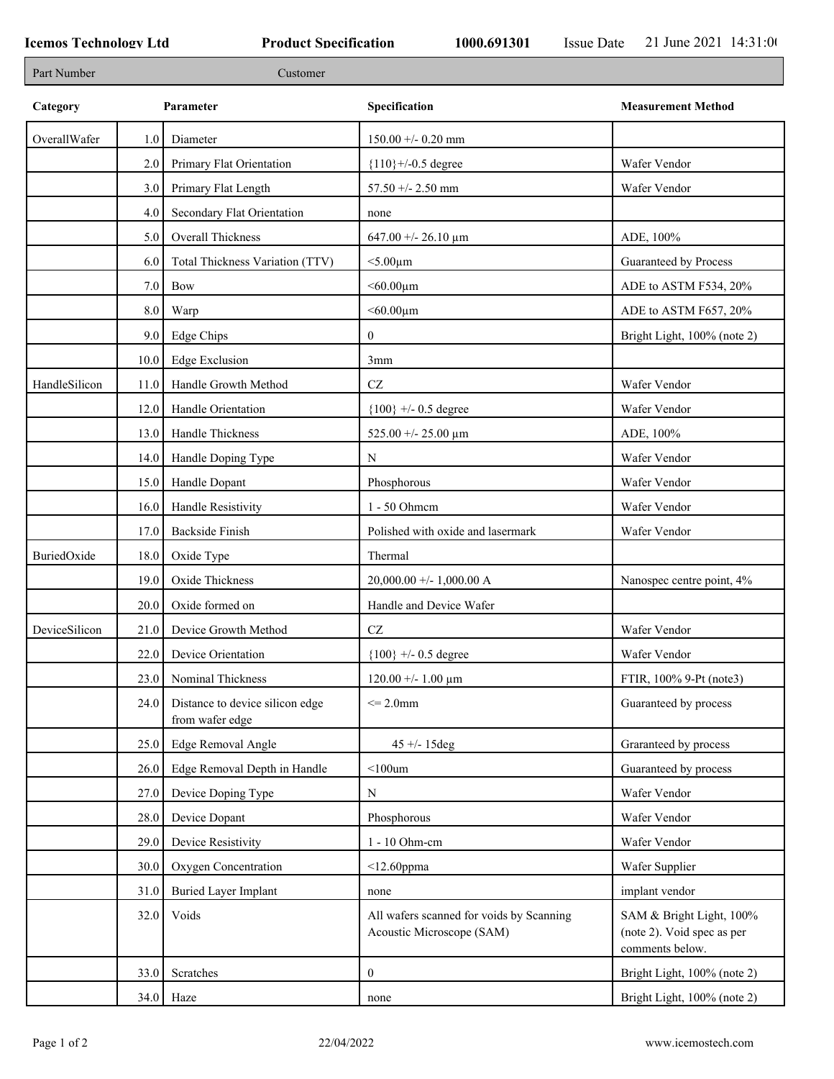| Part Number   |      | Customer                                           |                                                                       |                                                                           |
|---------------|------|----------------------------------------------------|-----------------------------------------------------------------------|---------------------------------------------------------------------------|
| Category      |      | Parameter                                          | Specification                                                         | <b>Measurement Method</b>                                                 |
| OverallWafer  | 1.0  | Diameter                                           | $150.00 + -0.20$ mm                                                   |                                                                           |
|               | 2.0  | Primary Flat Orientation                           | ${110}$ +/-0.5 degree                                                 | Wafer Vendor                                                              |
|               | 3.0  | Primary Flat Length                                | $57.50 + - 2.50$ mm                                                   | Wafer Vendor                                                              |
|               | 4.0  | Secondary Flat Orientation                         | none                                                                  |                                                                           |
|               | 5.0  | Overall Thickness                                  | 647.00 +/- 26.10 $\mu$ m                                              | ADE, 100%                                                                 |
|               | 6.0  | Total Thickness Variation (TTV)                    | $<$ 5.00 $\mu$ m                                                      | Guaranteed by Process                                                     |
|               | 7.0  | Bow                                                | $< 60.00 \mu m$                                                       | ADE to ASTM F534, 20%                                                     |
|               | 8.0  | Warp                                               | $<$ 60.00 $\mu$ m                                                     | ADE to ASTM F657, 20%                                                     |
|               | 9.0  | Edge Chips                                         | $\mathbf{0}$                                                          | Bright Light, 100% (note 2)                                               |
|               | 10.0 | <b>Edge Exclusion</b>                              | 3mm                                                                   |                                                                           |
| HandleSilicon | 11.0 | Handle Growth Method                               | $\operatorname{CZ}$                                                   | Wafer Vendor                                                              |
|               | 12.0 | Handle Orientation                                 | ${100}$ +/- 0.5 degree                                                | Wafer Vendor                                                              |
|               | 13.0 | Handle Thickness                                   | 525.00 +/- 25.00 $\mu$ m                                              | ADE, 100%                                                                 |
|               | 14.0 | Handle Doping Type                                 | $\mathbf N$                                                           | Wafer Vendor                                                              |
|               | 15.0 | Handle Dopant                                      | Phosphorous                                                           | Wafer Vendor                                                              |
|               | 16.0 | Handle Resistivity                                 | 1 - 50 Ohmem                                                          | Wafer Vendor                                                              |
|               | 17.0 | Backside Finish                                    | Polished with oxide and lasermark                                     | Wafer Vendor                                                              |
| BuriedOxide   | 18.0 | Oxide Type                                         | Thermal                                                               |                                                                           |
|               | 19.0 | Oxide Thickness                                    | $20,000.00 +/- 1,000.00 A$                                            | Nanospec centre point, 4%                                                 |
|               | 20.0 | Oxide formed on                                    | Handle and Device Wafer                                               |                                                                           |
| DeviceSilicon | 21.0 | Device Growth Method                               | CZ                                                                    | Wafer Vendor                                                              |
|               | 22.0 | Device Orientation                                 | ${100}$ +/- 0.5 degree                                                | Wafer Vendor                                                              |
|               | 23.0 | Nominal Thickness                                  | $120.00 + - 1.00 \mu m$                                               | FTIR, 100% 9-Pt (note3)                                                   |
|               | 24.0 | Distance to device silicon edge<br>from wafer edge | $\leq$ 2.0mm                                                          | Guaranteed by process                                                     |
|               | 25.0 | Edge Removal Angle                                 | $45 + - 15deg$                                                        | Graranteed by process                                                     |
|               | 26.0 | Edge Removal Depth in Handle                       | $<$ 100 $um$                                                          | Guaranteed by process                                                     |
|               | 27.0 | Device Doping Type                                 | $\mathbf N$                                                           | Wafer Vendor                                                              |
|               | 28.0 | Device Dopant                                      | Phosphorous                                                           | Wafer Vendor                                                              |
|               | 29.0 | Device Resistivity                                 | 1 - 10 Ohm-cm                                                         | Wafer Vendor                                                              |
|               | 30.0 | Oxygen Concentration                               | $<$ 12.60ppma                                                         | Wafer Supplier                                                            |
|               | 31.0 | <b>Buried Layer Implant</b>                        | none                                                                  | implant vendor                                                            |
|               | 32.0 | Voids                                              | All wafers scanned for voids by Scanning<br>Acoustic Microscope (SAM) | SAM & Bright Light, 100%<br>(note 2). Void spec as per<br>comments below. |
|               | 33.0 | Scratches                                          | $\boldsymbol{0}$                                                      | Bright Light, 100% (note 2)                                               |
|               |      | $34.0$ Haze                                        | none                                                                  | Bright Light, 100% (note 2)                                               |